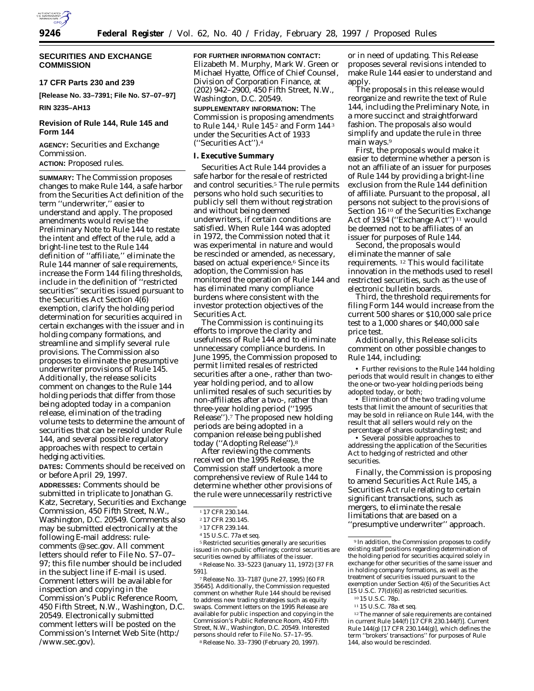

# **SECURITIES AND EXCHANGE COMMISSION**

**17 CFR Parts 230 and 239**

**[Release No. 33–7391; File No. S7–07–97]**

# **RIN 3235–AH13**

# **Revision of Rule 144, Rule 145 and Form 144**

**AGENCY:** Securities and Exchange Commission.

# **ACTION:** Proposed rules.

**SUMMARY:** The Commission proposes changes to make Rule 144, a safe harbor from the Securities Act definition of the term ''underwriter,'' easier to understand and apply. The proposed amendments would revise the Preliminary Note to Rule 144 to restate the intent and effect of the rule, add a bright-line test to the Rule 144 definition of ''affiliate,'' eliminate the Rule 144 manner of sale requirements, increase the Form 144 filing thresholds, include in the definition of ''restricted securities'' securities issued pursuant to the Securities Act Section 4(6) exemption, clarify the holding period determination for securities acquired in certain exchanges with the issuer and in holding company formations, and streamline and simplify several rule provisions. The Commission also proposes to eliminate the presumptive underwriter provisions of Rule 145. Additionally, the release solicits comment on changes to the Rule 144 holding periods that differ from those being adopted today in a companion release, elimination of the trading volume tests to determine the amount of securities that can be resold under Rule 144, and several possible regulatory approaches with respect to certain hedging activities.

**DATES:** Comments should be received on or before April 29, 1997.

**ADDRESSES:** Comments should be submitted in triplicate to Jonathan G. Katz, Secretary, Securities and Exchange Commission, 450 Fifth Street, N.W., Washington, D.C. 20549. Comments also may be submitted electronically at the following E-mail address: rulecomments @ sec.gov. All comment letters should refer to File No. S7–07– 97; this file number should be included in the subject line if E-mail is used. Comment letters will be available for inspection and copying in the Commission's Public Reference Room, 450 Fifth Street, N.W., Washington, D.C. 20549. Electronically submitted comment letters will be posted on the Commission's Internet Web Site (http:/ /www.sec.gov).

**FOR FURTHER INFORMATION CONTACT:** Elizabeth M. Murphy, Mark W. Green or Michael Hyatte, Office of Chief Counsel, Division of Corporation Finance, at (202) 942–2900, 450 Fifth Street, N.W., Washington, D.C. 20549.

#### **SUPPLEMENTARY INFORMATION:** The

Commission is proposing amendments to Rule 144,1 Rule 145 2 and Form 144 3 under the Securities Act of 1933 (''Securities Act'').4

# **I. Executive Summary**

Securities Act Rule 144 provides a safe harbor for the resale of restricted and control securities.<sup>5</sup> The rule permits persons who hold such securities to publicly sell them without registration and without being deemed underwriters, if certain conditions are satisfied. When Rule 144 was adopted in 1972, the Commission noted that it was experimental in nature and would be rescinded or amended, as necessary, based on actual experience.<sup>6</sup> Since its adoption, the Commission has monitored the operation of Rule 144 and has eliminated many compliance burdens where consistent with the investor protection objectives of the Securities Act.

The Commission is continuing its efforts to improve the clarity and usefulness of Rule 144 and to eliminate unnecessary compliance burdens. In June 1995, the Commission proposed to permit limited resales of restricted securities after a one-, rather than twoyear holding period, and to allow unlimited resales of such securities by non-affiliates after a two-, rather than three-year holding period (''1995 Release'').7 The proposed new holding periods are being adopted in a companion release being published today (''Adopting Release'').8

After reviewing the comments received on the 1995 Release, the Commission staff undertook a more comprehensive review of Rule 144 to determine whether other provisions of the rule were unnecessarily restrictive

5Restricted securities generally are securities issued in non-public offerings; control securities are securities owned by affiliates of the issuer. 6Release No. 33–5223 (January 11, 1972) [37 FR 591].

7Release No. 33–7187 (June 27, 1995) [60 FR 35645]. Additionally, the Commission requested comment on whether Rule 144 should be revised to address new trading strategies such as equity swaps. Comment letters on the 1995 Release are available for public inspection and copying in the Commission's Public Reference Room, 450 Fifth Street, N.W., Washington, D.C. 20549. Interested persons should refer to File No. S7–17–95. 8Release No. 33–7390 (February 20, 1997).

or in need of updating. This Release proposes several revisions intended to make Rule 144 easier to understand and apply.

The proposals in this release would reorganize and rewrite the text of Rule 144, including the Preliminary Note, in a more succinct and straightforward fashion. The proposals also would simplify and update the rule in three main ways.9

First, the proposals would make it easier to determine whether a person is not an affiliate of an issuer for purposes of Rule 144 by providing a bright-line exclusion from the Rule 144 definition of affiliate. Pursuant to the proposal, all persons not subject to the provisions of Section 16 10 of the Securities Exchange Act of 1934 (''Exchange Act'') 11 would be deemed not to be affiliates of an issuer for purposes of Rule 144.

Second, the proposals would eliminate the manner of sale requirements. 12 This would facilitate innovation in the methods used to resell restricted securities, such as the use of electronic bulletin boards.

Third, the threshold requirements for filing Form 144 would increase from the current 500 shares or \$10,000 sale price test to a 1,000 shares or \$40,000 sale price test.

Additionally, this Release solicits comment on other possible changes to Rule 144, including:

• Further revisions to the Rule 144 holding periods that would result in changes to either the one-or two-year holding periods being adopted today, or both;

• Elimination of the two trading volume tests that limit the amount of securities that may be sold in reliance on Rule 144, with the result that all sellers would rely on the percentage of shares outstanding test; and

• Several possible approaches to addressing the application of the Securities Act to hedging of restricted and other securities.

Finally, the Commission is proposing to amend Securities Act Rule 145, a Securities Act rule relating to certain significant transactions, such as mergers, to eliminate the resale limitations that are based on a ''presumptive underwriter'' approach.

<sup>1</sup> 17 CFR 230.144.

<sup>2</sup> 17 CFR 230.145.

<sup>3</sup> 17 CFR 239.144.

<sup>4</sup> 15 U.S.C. 77a *et seq.*

<sup>&</sup>lt;sup>9</sup> In addition, the Commission proposes to codify existing staff positions regarding determination of the holding period for securities acquired solely in exchange for other securities of the same issuer and in holding company formations, as well as the treatment of securities issued pursuant to the exemption under Section 4(6) of the Securities Act  $[15 \text{ U.S.C. } 77 \text{ (d) (6)}]$  as restricted securities. 10 15 U.S.C. 78p.

<sup>11</sup> 15 U.S.C. 78a *et seq.*

<sup>12</sup>The manner of sale requirements are contained in current Rule 144(f) [17 CFR 230.144(f)]. Current Rule 144(g) [17 CFR 230.144(g)], which defines the term ''brokers' transactions'' for purposes of Rule 144, also would be rescinded.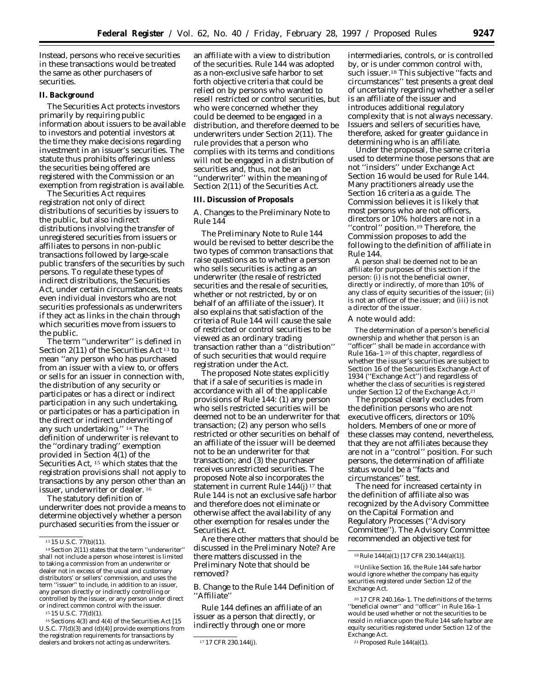Instead, persons who receive securities in these transactions would be treated the same as other purchasers of securities.

# **II. Background**

The Securities Act protects investors primarily by requiring public information about issuers to be available to investors and potential investors at the time they make decisions regarding investment in an issuer's securities. The statute thus prohibits offerings unless the securities being offered are registered with the Commission or an exemption from registration is available.

The Securities Act requires registration not only of direct distributions of securities by issuers to the public, but also indirect distributions involving the transfer of unregistered securities from issuers or affiliates to persons in non-public transactions followed by large-scale public transfers of the securities by such persons. To regulate these types of indirect distributions, the Securities Act, under certain circumstances, treats even individual investors who are not securities professionals as underwriters if they act as links in the chain through which securities move from issuers to the public.

The term ''underwriter'' is defined in Section 2(11) of the Securities Act 13 to mean ''any person who has purchased from an issuer with a view to, or offers or sells for an issuer in connection with, the distribution of any security or participates or has a direct or indirect participation in any such undertaking, or participates or has a participation in the direct or indirect underwriting of any such undertaking.'' 14 The definition of underwriter is relevant to the ''ordinary trading'' exemption provided in Section 4(1) of the Securities Act, <sup>15</sup> which states that the registration provisions shall not apply to transactions by any person other than an issuer, underwriter or dealer. 16

The statutory definition of underwriter does not provide a means to determine objectively whether a person purchased securities from the issuer or

16Sections 4(3) and 4(4) of the Securities Act [15 U.S.C. 77(d)(3) and (d)(4)] provide exemptions from the registration requirements for transactions by dealers and brokers not acting as underwriters. 17 17 CFR 230.144(j)

an affiliate with a view to distribution of the securities. Rule 144 was adopted as a non-exclusive safe harbor to set forth objective criteria that could be relied on by persons who wanted to resell restricted or control securities, but who were concerned whether they could be deemed to be engaged in a distribution, and therefore deemed to be underwriters under Section 2(11). The rule provides that a person who complies with its terms and conditions will not be engaged in a distribution of securities and, thus, not be an ''underwriter'' within the meaning of Section 2(11) of the Securities Act.

### **III. Discussion of Proposals**

# *A. Changes to the Preliminary Note to Rule 144*

The Preliminary Note to Rule 144 would be revised to better describe the two types of common transactions that raise questions as to whether a person who sells securities is acting as an underwriter (the resale of restricted securities and the resale of securities, whether or not restricted, by or on behalf of an affiliate of the issuer). It also explains that satisfaction of the criteria of Rule 144 will cause the sale of restricted or control securities to be viewed as an ordinary trading transaction rather than a ''distribution'' of such securities that would require registration under the Act.

The proposed Note states explicitly that if a sale of securities is made in accordance with all of the applicable provisions of Rule 144: (1) any person who sells restricted securities will be deemed not to be an underwriter for that transaction; (2) any person who sells restricted or other securities on behalf of an affiliate of the issuer will be deemed not to be an underwriter for that transaction; and (3) the purchaser receives unrestricted securities. The proposed Note also incorporates the statement in current Rule  $144(i)$ <sup>17</sup> that Rule 144 is not an exclusive safe harbor and therefore does not eliminate or otherwise affect the availability of any other exemption for resales under the Securities Act.

Are there other matters that should be discussed in the Preliminary Note? Are there matters discussed in the Preliminary Note that should be removed?

# *B. Change to the Rule 144 Definition of ''Affiliate''*

Rule 144 defines an affiliate of an issuer as a person that directly, or indirectly through one or more

intermediaries, controls, or is controlled by, or is under common control with, such issuer.18 This subjective ''facts and circumstances'' test presents a great deal of uncertainty regarding whether a seller is an affiliate of the issuer and introduces additional regulatory complexity that is not always necessary. Issuers and sellers of securities have, therefore, asked for greater guidance in determining who is an affiliate.

Under the proposal, the same criteria used to determine those persons that are not ''insiders'' under Exchange Act Section 16 would be used for Rule 144. Many practitioners already use the Section 16 criteria as a guide. The Commission believes it is likely that most persons who are not officers, directors or 10% holders are not in a ''control'' position.19 Therefore, the Commission proposes to add the following to the definition of affiliate in Rule 144.

A person shall be deemed not to be an affiliate for purposes of this section if the person: (i) is not the beneficial owner, directly or indirectly, of more than 10% of any class of equity securities of the issuer; (ii) is not an officer of the issuer; and (iii) is not a director of the issuer.

#### A note would add:

The determination of a person's beneficial ownership and whether that person is an ''officer'' shall be made in accordance with Rule 16a–1 20 of this chapter, regardless of whether the issuer's securities are subject to Section 16 of the Securities Exchange Act of 1934 (''Exchange Act'') and regardless of whether the class of securities is registered under Section 12 of the Exchange Act.<sup>21</sup>

The proposal clearly excludes from the definition persons who are not executive officers, directors or 10% holders. Members of one or more of these classes may contend, nevertheless, that they are not affiliates because they are not in a ''control'' position. For such persons, the determination of affiliate status would be a ''facts and circumstances'' test.

The need for increased certainty in the definition of affiliate also was recognized by the Advisory Committee on the Capital Formation and Regulatory Processes (''Advisory Committee''). The Advisory Committee recommended an objective test for

19Unlike Section 16, the Rule 144 safe harbor would ignore whether the company has equity securities registered under Section 12 of the Exchange Act.

21Proposed Rule 144(a)(1).

<sup>13</sup> 15 U.S.C. 77(b)(11).

<sup>14</sup>Section 2(11) states that the term ''underwriter'' shall not include a person whose interest is limited to taking a commission from an underwriter or dealer not in excess of the usual and customary distributors' or sellers' commission, and uses the term ''issuer'' to include, in addition to an issuer, any person directly or indirectly controlling or controlled by the issuer, or any person under direct or indirect common control with the issuer. 15 15 U.S.C. 77(d)(1).

<sup>18</sup>Rule 144(a)(1) [17 CFR 230.144(a)(1)].

<sup>20</sup> 17 CFR 240.16a–1. The definitions of the terms ''beneficial owner'' and ''officer'' in Rule 16a–1 would be used whether or not the securities to be resold in reliance upon the Rule 144 safe harbor are equity securities registered under Section 12 of the Exchange Act.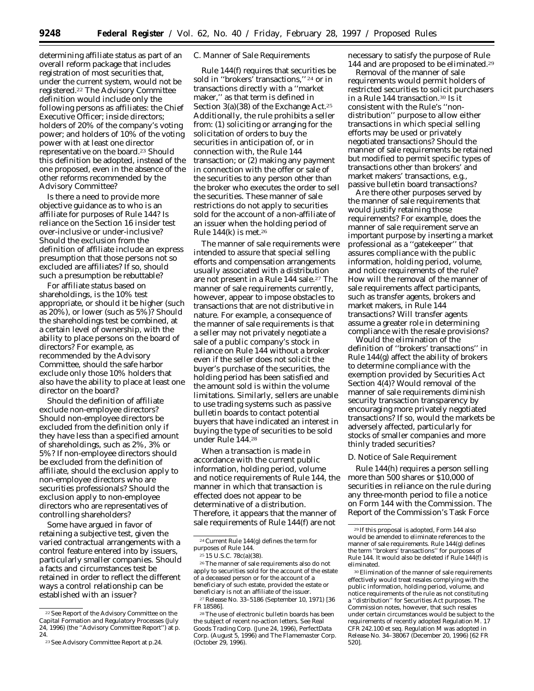determining affiliate status as part of an overall reform package that includes registration of most securities that, under the current system, would not be registered.22 The Advisory Committee definition would include only the following persons as affiliates: the Chief Executive Officer; inside directors; holders of 20% of the company's voting power; and holders of 10% of the voting power with at least one director representative on the board.23 Should this definition be adopted, instead of the one proposed, even in the absence of the other reforms recommended by the Advisory Committee?

Is there a need to provide more objective guidance as to who is an affiliate for purposes of Rule 144? Is reliance on the Section 16 insider test over-inclusive or under-inclusive? Should the exclusion from the definition of affiliate include an express presumption that those persons not so excluded are affiliates? If so, should such a presumption be rebuttable?

For affiliate status based on shareholdings, is the 10% test appropriate, or should it be higher (such as 20%), or lower (such as 5%)? Should the shareholdings test be combined, at a certain level of ownership, with the ability to place persons on the board of directors? For example, as recommended by the Advisory Committee, should the safe harbor exclude only those 10% holders that also have the ability to place at least one director on the board?

Should the definition of affiliate exclude non-employee directors? Should non-employee directors be excluded from the definition only if they have less than a specified amount of shareholdings, such as 2%, 3% or 5%? If non-employee directors should be excluded from the definition of affiliate, should the exclusion apply to non-employee directors who are securities professionals? Should the exclusion apply to non-employee directors who are representatives of controlling shareholders?

Some have argued in favor of retaining a subjective test, given the varied contractual arrangements with a control feature entered into by issuers, particularly smaller companies. Should a facts and circumstances test be retained in order to reflect the different ways a control relationship can be established with an issuer?

#### *C. Manner of Sale Requirements*

Rule 144(f) requires that securities be sold in ''brokers' transactions,'' 24 or in transactions directly with a ''market maker,'' as that term is defined in Section 3(a)(38) of the Exchange Act.25 Additionally, the rule prohibits a seller from: (1) soliciting or arranging for the solicitation of orders to buy the securities in anticipation of, or in connection with, the Rule 144 transaction; or (2) making any payment in connection with the offer or sale of the securities to any person other than the broker who executes the order to sell the securities. These manner of sale restrictions do not apply to securities sold for the account of a non-affiliate of an issuer when the holding period of Rule  $144(k)$  is met.<sup>26</sup>

The manner of sale requirements were intended to assure that special selling efforts and compensation arrangements usually associated with a distribution are not present in a Rule 144 sale.27 The manner of sale requirements currently, however, appear to impose obstacles to transactions that are not distributive in nature. For example, a consequence of the manner of sale requirements is that a seller may not privately negotiate a sale of a public company's stock in reliance on Rule 144 without a broker even if the seller does not solicit the buyer's purchase of the securities, the holding period has been satisfied and the amount sold is within the volume limitations. Similarly, sellers are unable to use trading systems such as passive bulletin boards to contact potential buyers that have indicated an interest in buying the type of securities to be sold under Rule 144.28

When a transaction is made in accordance with the current public information, holding period, volume and notice requirements of Rule 144, the manner in which that transaction is effected does not appear to be determinative of a distribution. Therefore, it appears that the manner of sale requirements of Rule 144(f) are not

necessary to satisfy the purpose of Rule 144 and are proposed to be eliminated.29

Removal of the manner of sale requirements would permit holders of restricted securities to solicit purchasers in a Rule 144 transaction.30 Is it consistent with the Rule's ''nondistribution'' purpose to allow either transactions in which special selling efforts may be used or privately negotiated transactions? Should the manner of sale requirements be retained but modified to permit specific types of transactions other than brokers' and market makers' transactions, *e.g.*, passive bulletin board transactions?

Are there other purposes served by the manner of sale requirements that would justify retaining those requirements? For example, does the manner of sale requirement serve an important purpose by inserting a market professional as a ''gatekeeper'' that assures compliance with the public information, holding period, volume, and notice requirements of the rule? How will the removal of the manner of sale requirements affect participants, such as transfer agents, brokers and market makers, in Rule 144 transactions? Will transfer agents assume a greater role in determining compliance with the resale provisions?

Would the elimination of the definition of ''brokers' transactions'' in Rule 144(g) affect the ability of brokers to determine compliance with the exemption provided by Securities Act Section 4(4)? Would removal of the manner of sale requirements diminish security transaction transparency by encouraging more privately negotiated transactions? If so, would the markets be adversely affected, particularly for stocks of smaller companies and more thinly traded securities?

#### *D. Notice of Sale Requirement*

Rule 144(h) requires a person selling more than 500 shares or \$10,000 of securities in reliance on the rule during any three-month period to file a notice on Form 144 with the Commission. The Report of the Commission's Task Force

<sup>22</sup>*See Report of the Advisory Committee on the Capital Formation and Regulatory Processes* (July 24, 1996) (the ''Advisory Committee Report'') at p. 24.

<sup>23</sup>*See Advisory Committee Report* at p.24.

<sup>24</sup>Current Rule 144(g) defines the term for purposes of Rule 144.

<sup>25</sup> 15 U.S.C. 78c(a)(38).

<sup>26</sup>The manner of sale requirements also do not apply to securities sold for the account of the estate of a deceased person or for the account of a beneficiary of such estate, provided the estate or beneficiary is not an affiliate of the issuer.

<sup>27</sup>Release No. 33–5186 (September 10, 1971) [36 FR 18586].

<sup>28</sup>The use of electronic bulletin boards has been the subject of recent no-action letters. *See Real Goods Trading Corp.* (June 24, 1996), *PerfectData Corp.* (August 5, 1996) and *The Flamemaster Corp.* (October 29, 1996).

<sup>29</sup> If this proposal is adopted, Form 144 also would be amended to eliminate references to the manner of sale requirements. Rule 144(g) defines the term ''brokers' transactions'' for purposes of Rule 144. It would also be deleted if Rule 144(f) is eliminated.

<sup>30</sup>Elimination of the manner of sale requirements effectively would treat resales complying with the public information, holding period, volume, and notice requirements of the rule as not constituting a ''distribution'' for Securities Act purposes. The Commission notes, however, that such resales under certain circumstances would be subject to the requirements of recently adopted Regulation M. 17 CFR 242.100 *et seq.* Regulation M was adopted in Release No. 34–38067 (December 20, 1996) [62 FR 520].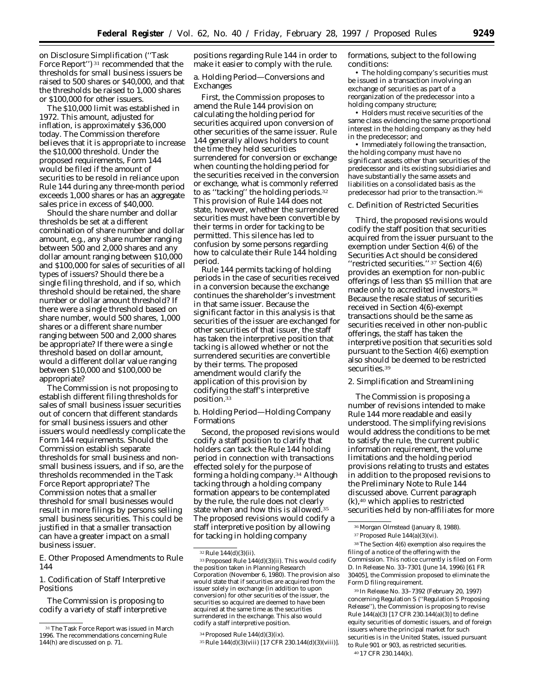on Disclosure Simplification (''Task Force Report'') 31 recommended that the thresholds for small business issuers be raised to 500 shares or \$40,000, and that the thresholds be raised to 1,000 shares or \$100,000 for other issuers.

The \$10,000 limit was established in 1972. This amount, adjusted for inflation, is approximately \$36,000 today. The Commission therefore believes that it is appropriate to increase the \$10,000 threshold. Under the proposed requirements, Form 144 would be filed if the amount of securities to be resold in reliance upon Rule 144 during any three-month period exceeds 1,000 shares or has an aggregate sales price in excess of \$40,000.

Should the share number and dollar thresholds be set at a different combination of share number and dollar amount, *e.g.*, any share number ranging between 500 and 2,000 shares and any dollar amount ranging between \$10,000 and \$100,000 for sales of securities of all types of issuers? Should there be a single filing threshold, and if so, which threshold should be retained, the share number or dollar amount threshold? If there were a single threshold based on share number, would 500 shares, 1,000 shares or a different share number ranging between 500 and 2,000 shares be appropriate? If there were a single threshold based on dollar amount, would a different dollar value ranging between \$10,000 and \$100,000 be appropriate?

The Commission is not proposing to establish different filing thresholds for sales of small business issuer securities out of concern that different standards for small business issuers and other issuers would needlessly complicate the Form 144 requirements. Should the Commission establish separate thresholds for small business and nonsmall business issuers, and if so, are the thresholds recommended in the Task Force Report appropriate? The Commission notes that a smaller threshold for small businesses would result in more filings by persons selling small business securities. This could be justified in that a smaller transaction can have a greater impact on a small business issuer.

*E. Other Proposed Amendments to Rule 144*

1. Codification of Staff Interpretive Positions

The Commission is proposing to codify a variety of staff interpretive

positions regarding Rule 144 in order to make it easier to comply with the rule.

a. Holding Period—Conversions and Exchanges

First, the Commission proposes to amend the Rule 144 provision on calculating the holding period for securities acquired upon conversion of other securities of the same issuer. Rule 144 generally allows holders to count the time they held securities surrendered for conversion or exchange when counting the holding period for the securities received in the conversion or exchange, what is commonly referred to as ''tacking'' the holding periods.32 This provision of Rule 144 does not state, however, whether the surrendered securities must have been convertible by their terms in order for tacking to be permitted. This silence has led to confusion by some persons regarding how to calculate their Rule 144 holding period.

Rule 144 permits tacking of holding periods in the case of securities received in a conversion because the exchange continues the shareholder's investment in that *same* issuer. Because the significant factor in this analysis is that securities of the issuer are exchanged for other securities of that issuer, the staff has taken the interpretive position that tacking is allowed whether or not the surrendered securities are convertible by their terms. The proposed amendment would clarify the application of this provision by codifying the staff's interpretive position.33

b. Holding Period—Holding Company Formations

Second, the proposed revisions would codify a staff position to clarify that holders can tack the Rule 144 holding period in connection with transactions effected solely for the purpose of forming a holding company.34 Although tacking through a holding company formation appears to be contemplated by the rule, the rule does not clearly state when and how this is allowed.35 The proposed revisions would codify a staff interpretive position by allowing for tacking in holding company

formations, subject to the following conditions:

• The holding company's securities must be issued in a transaction involving an exchange of securities as part of a reorganization of the predecessor into a holding company structure;

• Holders must receive securities of the same class evidencing the same proportional interest in the holding company as they held in the predecessor; and

• Immediately following the transaction, the holding company must have no significant assets other than securities of the predecessor and its existing subsidiaries and have substantially the same assets and liabilities on a consolidated basis as the predecessor had prior to the transaction.36

# c. Definition of Restricted Securities

Third, the proposed revisions would codify the staff position that securities acquired from the issuer pursuant to the exemption under Section 4(6) of the Securities Act should be considered ''restricted securities.'' 37 Section 4(6) provides an exemption for non-public offerings of less than \$5 million that are made only to accredited investors.38 Because the resale status of securities received in Section 4(6)-exempt transactions should be the same as securities received in other non-public offerings, the staff has taken the interpretive position that securities sold pursuant to the Section 4(6) exemption also should be deemed to be restricted securities.39

## 2. Simplification and Streamlining

The Commission is proposing a number of revisions intended to make Rule 144 more readable and easily understood. The simplifying revisions would address the conditions to be met to satisfy the rule, the current public information requirement, the volume limitations and the holding period provisions relating to trusts and estates in addition to the proposed revisions to the Preliminary Note to Rule 144 discussed above. Current paragraph (k),40 which applies to restricted securities held by non-affiliates for more

38The Section 4(6) exemption also requires the filing of a notice of the offering with the Commission. This notice currently is filed on Form D. In Release No. 33–7301 (June 14, 1996) [61 FR 30405], the Commission proposed to eliminate the Form D filing requirement.

39 In Release No. 33–7392 (February 20, 1997) concerning Regulation S (''Regulation S Proposing Release''), the Commission is proposing to revise Rule 144(a)(3) [17 CFR 230.144(a)(3)] to define equity securities of domestic issuers, and of foreign issuers where the principal market for such securities is in the United States, issued pursuant to Rule 901 or 903, as restricted securities. 40 17 CFR 230.144(k).

<sup>&</sup>lt;sup>31</sup> The Task Force Report was issued in March 1996. The recommendations concerning Rule 144(h) are discussed on p. 71.

<sup>32</sup>Rule 144(d)(3)(ii).

<sup>33</sup>Proposed Rule 144(d)(3)(ii). This would codify the position taken in *Planning Research Corporation* (November 6, 1980). The provision also would state that if securities are acquired from the issuer solely in exchange (in addition to upon conversion) for other securities of the issuer, the securities so acquired are deemed to have been acquired at the same time as the securities surrendered in the exchange. This also would codify a staff interpretive position.

 $34$  Proposed Rule  $144(d)(3)(ix)$ .

<sup>35</sup>Rule 144(d)(3)(viii) [17 CFR 230.144(d)(3)(viii)].

<sup>36</sup> *Morgan Olmstead* (January 8, 1988).

 $37$  Proposed Rule  $144(a)(3)(vi)$ .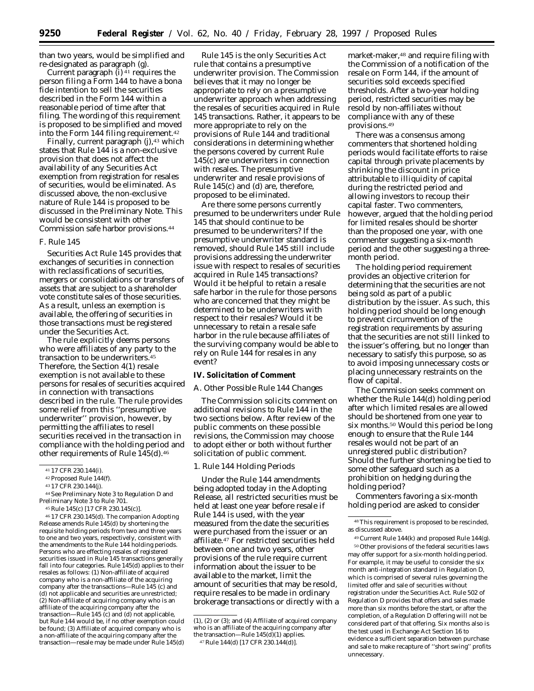than two years, would be simplified and re-designated as paragraph (g).

Current paragraph  $(i)$ <sup>41</sup> requires the person filing a Form 144 to have a bona fide intention to sell the securities described in the Form 144 within a reasonable period of time after that filing. The wording of this requirement is proposed to be simplified and moved into the Form 144 filing requirement.<sup>42</sup>

Finally, current paragraph (j),<sup>43</sup> which states that Rule 144 is a non-exclusive provision that does not affect the availability of any Securities Act exemption from registration for resales of securities, would be eliminated. As discussed above, the non-exclusive nature of Rule 144 is proposed to be discussed in the Preliminary Note. This would be consistent with other Commission safe harbor provisions.44

### *F. Rule 145*

Securities Act Rule 145 provides that exchanges of securities in connection with reclassifications of securities, mergers or consolidations or transfers of assets that are subject to a shareholder vote constitute sales of those securities. As a result, unless an exemption is available, the offering of securities in those transactions must be registered under the Securities Act.

The rule explicitly deems persons who were affiliates of any party to the transaction to be underwriters.45 Therefore, the Section 4(1) resale exemption is not available to these persons for resales of securities acquired in connection with transactions described in the rule. The rule provides some relief from this ''presumptive underwriter'' provision, however, by permitting the affiliates to resell securities received in the transaction in compliance with the holding period and other requirements of Rule 145(d).46

44*See* Preliminary Note 3 to Regulation D and Preliminary Note 3 to Rule 701.

46 17 CFR 230.145(d). The companion Adopting Release amends Rule 145(d) by shortening the requisite holding periods from two and three years to one and two years, respectively, consistent with the amendments to the Rule 144 holding periods. Persons who are effecting resales of registered securities issued in Rule 145 transactions generally fall into four categories. Rule 145(d) applies to their resales as follows: (1) Non-affiliate of acquired company who is a non-affiliate of the acquiring company after the transactions—Rule 145 (c) and (d) not applicable and securities are unrestricted; (2) Non-affiliate of acquiring company who is an affiliate of the acquiring company after the transaction—Rule 145 (c) and (d) not applicable, but Rule 144 would be, if no other exemption could be found; (3) Affiliate of acquired company who is a non-affiliate of the acquiring company after the transaction—resale may be made under Rule 145(d)

Rule 145 is the only Securities Act rule that contains a presumptive underwriter provision. The Commission believes that it may no longer be appropriate to rely on a presumptive underwriter approach when addressing the resales of securities acquired in Rule 145 transactions. Rather, it appears to be more appropriate to rely on the provisions of Rule 144 and traditional considerations in determining whether the persons covered by current Rule 145(c) are underwriters in connection with resales. The presumptive underwriter and resale provisions of Rule 145(c) and (d) are, therefore, proposed to be eliminated.

Are there some persons currently presumed to be underwriters under Rule 145 that should continue to be presumed to be underwriters? If the presumptive underwriter standard is removed, should Rule 145 still include provisions addressing the underwriter issue with respect to resales of securities acquired in Rule 145 transactions? Would it be helpful to retain a resale safe harbor in the rule for those persons who are concerned that they might be determined to be underwriters with respect to their resales? Would it be unnecessary to retain a resale safe harbor in the rule because affiliates of the surviving company would be able to rely on Rule 144 for resales in any event?

#### **IV. Solicitation of Comment**

### *A. Other Possible Rule 144 Changes*

The Commission solicits comment on additional revisions to Rule 144 in the two sections below. After review of the public comments on these possible revisions, the Commission may choose to adopt either or both without further solicitation of public comment.

# 1. Rule 144 Holding Periods

Under the Rule 144 amendments being adopted today in the Adopting Release, all restricted securities must be held at least one year before resale if Rule 144 is used, with the year measured from the date the securities were purchased from the issuer or an affiliate.47 For restricted securities held between one and two years, other provisions of the rule require current information about the issuer to be available to the market, limit the amount of securities that may be resold, require resales to be made in ordinary brokerage transactions or directly with a market-maker,48 and require filing with the Commission of a notification of the resale on Form 144, if the amount of securities sold exceeds specified thresholds. After a two-year holding period, restricted securities may be resold by non-affiliates without compliance with any of these provisions.49

There was a consensus among commenters that shortened holding periods would facilitate efforts to raise capital through private placements by shrinking the discount in price attributable to illiquidity of capital during the restricted period and allowing investors to recoup their capital faster. Two commenters, however, argued that the holding period for limited resales should be shorter than the proposed one year, with one commenter suggesting a six-month period and the other suggesting a threemonth period.

The holding period requirement provides an objective criterion for determining that the securities are not being sold as part of a public distribution by the issuer. As such, this holding period should be long enough to prevent circumvention of the registration requirements by assuring that the securities are not still linked to the issuer's offering, but no longer than necessary to satisfy this purpose, so as to avoid imposing unnecessary costs or placing unnecessary restraints on the flow of capital.

The Commission seeks comment on whether the Rule 144(d) holding period after which limited resales are allowed should be shortened from one year to six months.50 Would this period be long enough to ensure that the Rule 144 resales would not be part of an unregistered public distribution? Should the further shortening be tied to some other safeguard such as a prohibition on hedging during the holding period?

Commenters favoring a six-month holding period are asked to consider

<sup>41</sup> 17 CFR 230.144(i).

<sup>42</sup>Proposed Rule 144(f).

<sup>43</sup> 17 CFR 230.144(j).

<sup>45</sup>Rule 145(c) [17 CFR 230.145(c)].

<sup>(1), (2)</sup> or (3); and (4) Affiliate of acquired company who is an affiliate of the acquiring company after the transaction—Rule 145(d)(1) applies. 47Rule 144(d) [17 CFR 230.144(d)].

<sup>48</sup>This requirement is proposed to be rescinded, as discussed above.

<sup>49</sup>Current Rule 144(k) and proposed Rule 144(g). 50Other provisions of the federal securities laws may offer support for a six-month holding period. For example, it may be useful to consider the six month anti-integration standard in Regulation D, which is comprised of several rules governing the limited offer and sale of securities without registration under the Securities Act. Rule 502 of Regulation D provides that offers and sales made more than six months before the start, or after the completion, of a Regulation D offering will not be considered part of that offering. Six months also is the test used in Exchange Act Section 16 to evidence a sufficient separation between purchase and sale to make recapture of ''short swing'' profits unnecessary.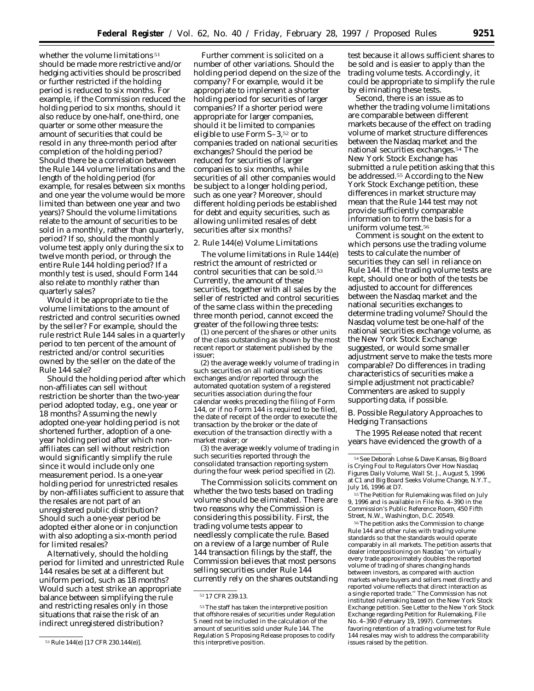whether the volume limitations<sup>51</sup> should be made more restrictive and/or hedging activities should be proscribed or further restricted if the holding period is reduced to six months. For example, if the Commission reduced the holding period to six months, should it also reduce by one-half, one-third, one quarter or some other measure the amount of securities that could be resold in any three-month period after completion of the holding period? Should there be a correlation between the Rule 144 volume limitations and the length of the holding period (for example, for resales between six months and one year the volume would be more limited than between one year and two years)? Should the volume limitations relate to the amount of securities to be sold in a monthly, rather than quarterly, period? If so, should the monthly volume test apply only during the six to twelve month period, or through the entire Rule 144 holding period? If a monthly test is used, should Form 144 also relate to monthly rather than quarterly sales?

Would it be appropriate to tie the volume limitations to the amount of restricted and control securities owned by the seller? For example, should the rule restrict Rule 144 sales in a quarterly period to ten percent of the amount of restricted and/or control securities owned by the seller on the date of the Rule 144 sale?

Should the holding period after which non-affiliates can sell without restriction be shorter than the two-year period adopted today, *e.g.,* one year or 18 months? Assuming the newly adopted one-year holding period is not shortened further, adoption of a oneyear holding period after which nonaffiliates can sell without restriction would significantly simplify the rule since it would include only one measurement period. Is a one-year holding period for unrestricted resales by non-affiliates sufficient to assure that the resales are not part of an unregistered public distribution? Should such a one-year period be adopted either alone or in conjunction with also adopting a six-month period for limited resales?

Alternatively, should the holding period for limited and unrestricted Rule 144 resales be set at a different but uniform period, such as 18 months? Would such a test strike an appropriate balance between simplifying the rule and restricting resales only in those situations that raise the risk of an indirect unregistered distribution?

Further comment is solicited on a number of other variations. Should the holding period depend on the size of the company? For example, would it be appropriate to implement a shorter holding period for securities of larger companies? If a shorter period were appropriate for larger companies, should it be limited to companies eligible to use Form S–3,52 or to companies traded on national securities exchanges? Should the period be reduced for securities of larger companies to six months, while securities of all other companies would be subject to a longer holding period, such as one year? Moreover, should different holding periods be established for debt and equity securities, such as allowing unlimited resales of debt securities after six months?

### 2. Rule 144(e) Volume Limitations

The volume limitations in Rule 144(e) restrict the amount of restricted or control securities that can be sold.53 Currently, the amount of these securities, together with all sales by the seller of restricted and control securities of the same class within the preceding three month period, cannot exceed the *greater* of the following three tests:

(1) one percent of the shares or other units of the class outstanding as shown by the most recent report or statement published by the issuer;

(2) the average weekly volume of trading in such securities on all national securities exchanges and/or reported through the automated quotation system of a registered securities association during the four calendar weeks preceding the filing of Form 144, or if no Form 144 is required to be filed, the date of receipt of the order to execute the transaction by the broker or the date of execution of the transaction directly with a market maker; or

(3) the average weekly volume of trading in such securities reported through the consolidated transaction reporting system during the four week period specified in (2).

The Commission solicits comment on whether the two tests based on trading volume should be eliminated. There are two reasons why the Commission is considering this possibility. First, the trading volume tests appear to needlessly complicate the rule. Based on a review of a large number of Rule 144 transaction filings by the staff, the Commission believes that most persons selling securities under Rule 144 currently rely on the shares outstanding

test because it allows sufficient shares to be sold and is easier to apply than the trading volume tests. Accordingly, it could be appropriate to simplify the rule by eliminating these tests.

Second, there is an issue as to whether the trading volume limitations are comparable between different markets because of the effect on trading volume of market structure differences between the Nasdaq market and the national securities exchanges.54 The New York Stock Exchange has submitted a rule petition asking that this be addressed.55 According to the New York Stock Exchange petition, these differences in market structure may mean that the Rule 144 test may not provide sufficiently comparable information to form the basis for a uniform volume test.56

Comment is sought on the extent to which persons use the trading volume tests to calculate the number of securities they can sell in reliance on Rule 144. If the trading volume tests are kept, should one or both of the tests be adjusted to account for differences between the Nasdaq market and the national securities exchanges to determine trading volume? Should the Nasdaq volume test be one-half of the national securities exchange volume, as the New York Stock Exchange suggested, or would some smaller adjustment serve to make the tests more comparable? Do differences in trading characteristics of securities make a simple adjustment not practicable? Commenters are asked to supply supporting data, if possible.

# *B. Possible Regulatory Approaches to Hedging Transactions*

The 1995 Release noted that recent years have evidenced the growth of a

55 The Petition for Rulemaking was filed on July 9, 1996 and is available in File No. 4–390 in the Commission's Public Reference Room, 450 Fifth Street, N.W., Washington, D.C. 20549.

56The petition asks the Commission to change Rule 144 and other rules with trading volume standards so that the standards would operate comparably in all markets. The petition asserts that dealer interpositioning on Nasdaq ''on virtually every trade approximately doubles the reported volume of trading of shares changing hands between investors, as compared with auction markets where buyers and sellers meet directly and reported volume reflects that direct interaction as a single reported trade.'' The Commission has not instituted rulemaking based on the New York Stock Exchange petition. *See* Letter to the New York Stock Exchange regarding Petition for Rulemaking, File No. 4–390 (February 19, 1997). Commenters favoring retention of a trading volume test for Rule 144 resales may wish to address the comparability issues raised by the petition.

<sup>51</sup>Rule 144(e) [17 CFR 230.144(e)].

<sup>52</sup> 17 CFR 239.13.

<sup>53</sup>The staff has taken the interpretive position that offshore resales of securities under Regulation S need not be included in the calculation of the amount of securities sold under Rule 144. The Regulation S Proposing Release proposes to codify this interpretive position.

<sup>54</sup>See Deborah Lohse & Dave Kansas, *Big Board is Crying Foul to Regulators Over How Nasdaq Figures Daily Volume, Wall St. J.,* August 5, 1996 at C1 and *Big Board Seeks Volume Change, N.Y.T.,* July 16, 1996 at D7.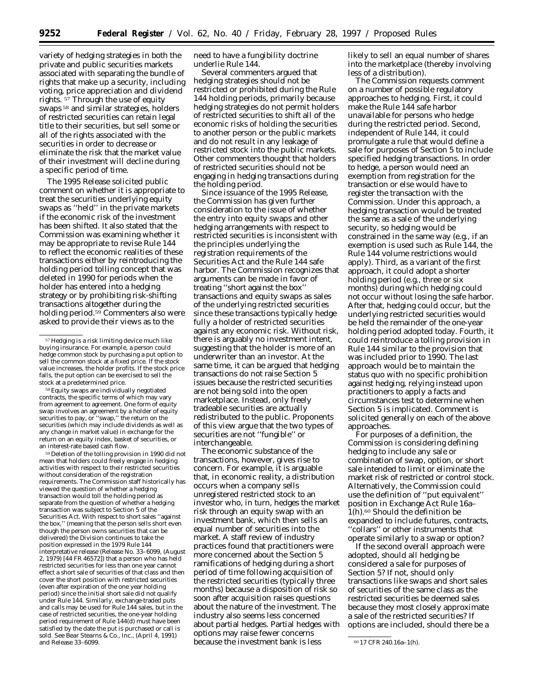variety of hedging strategies in both the private and public securities markets associated with separating the bundle of rights that make up a security, including voting, price appreciation and dividend rights. 57 Through the use of equity swaps 58 and similar strategies, holders of restricted securities can retain legal title to their securities, but sell some or all of the rights associated with the securities in order to decrease or eliminate the risk that the market value of their investment will decline during a specific period of time.

The 1995 Release solicited public comment on whether it is appropriate to treat the securities underlying equity swaps as ''held'' in the private markets if the economic risk of the investment has been shifted. It also stated that the Commission was examining whether it may be appropriate to revise Rule 144 to reflect the economic realities of these transactions either by reintroducing the holding period tolling concept that was deleted in 1990 for periods when the holder has entered into a hedging strategy or by prohibiting risk-shifting transactions altogether during the holding period.<sup>59</sup> Commenters also were asked to provide their views as to the

58Equity swaps are individually negotiated contracts, the specific terms of which may vary from agreement to agreement. One form of equity swap involves an agreement by a holder of equity securities to pay, or ''swap,'' the return on the securities (which may include dividends as well as any change in market value) in exchange for the return on an equity index, basket of securities, or an interest-rate based cash flow.

59 Deletion of the tolling provision in 1990 did not mean that holders could freely engage in hedging activities with respect to their restricted securities without consideration of the registration requirements. The Commission staff historically has viewed the question of whether a hedging transaction would toll the holding period as separate from the question of whether a hedging transaction was subject to Section 5 of the Securities Act. With respect to short sales ''against the box,'' (meaning that the person sells short even though the person owns securities that can be delivered) the Division continues to take the position expressed in the 1979 Rule 144 interpretative release (Release No. 33–6099, (August 2, 1979) [44 FR 46572]) that a person who has held restricted securities for less than one year cannot effect a short sale of securities of that class and then cover the short position with restricted securities (even after expiration of the one year holding period) since the initial short sale did not qualify under Rule 144. Similarly, exchange-traded puts and calls may be used for Rule 144 sales, but in the case of restricted securities, the one-year holding period requirement of Rule 144(d) must have been satisfied by the date the put is purchased or call is sold. *See Bear Stearns & Co., Inc.,* (April 4, 1991) and Release 33–6099. The cause the investment bank is less only CFR 240.16a–1(h).

need to have a fungibility doctrine underlie Rule 144.

Several commenters argued that hedging strategies should not be restricted or prohibited during the Rule 144 holding periods, primarily because hedging strategies do not permit holders of restricted securities to shift all of the economic risks of holding the securities to another person or the public markets and do not result in any leakage of restricted stock into the public markets. Other commenters thought that holders of restricted securities should not be engaging in hedging transactions during the holding period.

Since issuance of the 1995 Release, the Commission has given further consideration to the issue of whether the entry into equity swaps and other hedging arrangements with respect to restricted securities is inconsistent with the principles underlying the registration requirements of the Securities Act and the Rule 144 safe harbor. The Commission recognizes that arguments can be made in favor of treating ''short against the box'' transactions and equity swaps as sales of the underlying restricted securities since these transactions typically hedge fully a holder of restricted securities against any economic risk. Without risk, there is arguably no investment intent, suggesting that the holder is more of an underwriter than an investor. At the same time, it can be argued that hedging transactions do not raise Section 5 issues because the restricted securities are not being sold into the open marketplace. Instead, only freely tradeable securities are actually redistributed to the public. Proponents of this view argue that the two types of securities are not ''fungible'' or interchangeable.

The economic substance of the transactions, however, gives rise to concern. For example, it is arguable that, in economic reality, a distribution occurs when a company sells unregistered restricted stock to an investor who, in turn, hedges the market risk through an equity swap with an investment bank, which then sells an equal number of securities into the market. A staff review of industry practices found that practitioners were more concerned about the Section 5 ramifications of hedging during a short period of time following acquisition of the restricted securities (typically three months) because a disposition of risk so soon after acquisition raises questions about the nature of the investment. The industry also seems less concerned about partial hedges. Partial hedges with options may raise fewer concerns

likely to sell an equal number of shares into the marketplace (thereby involving less of a distribution).

The Commission requests comment on a number of possible regulatory approaches to hedging. First, it could make the Rule 144 safe harbor unavailable for persons who hedge during the restricted period. Second, independent of Rule 144, it could promulgate a rule that would define a sale for purposes of Section 5 to include specified hedging transactions. In order to hedge, a person would need an exemption from registration for the transaction or else would have to register the transaction with the Commission. Under this approach, a hedging transaction would be treated the same as a sale of the underlying security, so hedging would be constrained in the same way (*e.g.,* if an exemption is used such as Rule 144, the Rule 144 volume restrictions would apply). Third, as a variant of the first approach, it could adopt a shorter holding period (*e.g.,* three or six months) during which hedging could not occur without losing the safe harbor. After that, hedging could occur, but the underlying restricted securities would be held the remainder of the one-year holding period adopted today. Fourth, it could reintroduce a tolling provision in Rule 144 similar to the provision that was included prior to 1990. The last approach would be to maintain the status quo with no specific prohibition against hedging, relying instead upon practitioners to apply a facts and circumstances test to determine when Section 5 is implicated. Comment is solicited generally on each of the above approaches.

For purposes of a definition, the Commission is considering defining hedging to include any sale or combination of swap, option, or short sale intended to limit or eliminate the market risk of restricted or control stock. Alternatively, the Commission could use the definition of ''put equivalent'' position in Exchange Act Rule 16a– 1(h).60 Should the definition be expanded to include futures, contracts, ''collars'' or other instruments that operate similarly to a swap or option?

If the second overall approach were adopted, should all hedging be considered a sale for purposes of Section 5? If not, should only transactions like swaps and short sales of securities of the same class as the restricted securities be deemed sales because they most closely approximate a sale of the restricted securities? If options are included, should there be a

<sup>57</sup>Hedging is a risk limiting device much like buying insurance. For example, a person could hedge common stock by purchasing a put option to sell the common stock at a fixed price. If the stock value increases, the holder profits. If the stock price falls, the put option can be exercised to sell the stock at a predetermined price.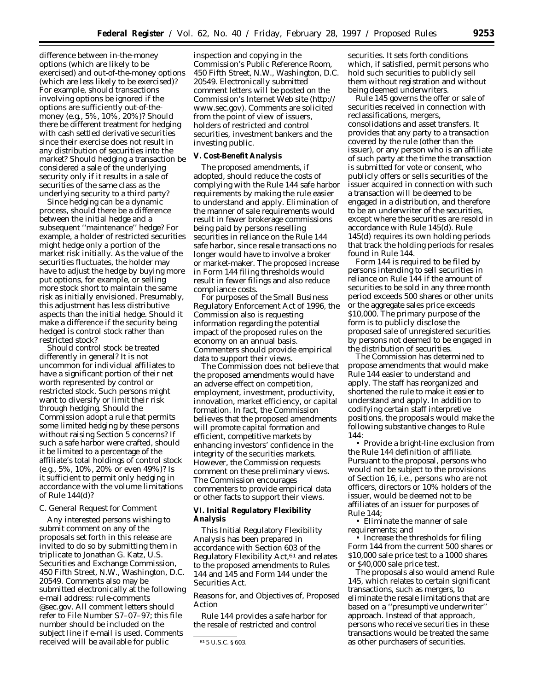difference between in-the-money options (which are likely to be exercised) and out-of-the-money options (which are less likely to be exercised)? For example, should transactions involving options be ignored if the options are sufficiently out-of-themoney (*e.g.,* 5%, 10%, 20%)? Should there be different treatment for hedging with cash settled derivative securities since their exercise does not result in any distribution of securities into the market? Should hedging a transaction be considered a sale of the underlying security only if it results in a sale of securities of the same class as the underlying security to a third party?

Since hedging can be a dynamic process, should there be a difference between the initial hedge and a subsequent ''maintenance'' hedge? For example, a holder of restricted securities might hedge only a portion of the market risk initially. As the value of the securities fluctuates, the holder may have to adjust the hedge by buying more put options, for example, or selling more stock short to maintain the same risk as initially envisioned. Presumably, this adjustment has less distributive aspects than the initial hedge. Should it make a difference if the security being hedged is control stock rather than restricted stock?

Should control stock be treated differently in general? It is not uncommon for individual affiliates to have a significant portion of their net worth represented by control or restricted stock. Such persons might want to diversify or limit their risk through hedging. Should the Commission adopt a rule that permits some limited hedging by these persons without raising Section 5 concerns? If such a safe harbor were crafted, should it be limited to a percentage of the affiliate's total holdings of control stock (*e.g.,* 5%, 10%, 20% or even 49%)? Is it sufficient to permit only hedging in accordance with the volume limitations of Rule 144(d)?

### *C. General Request for Comment*

Any interested persons wishing to submit comment on any of the proposals set forth in this release are invited to do so by submitting them in triplicate to Jonathan G. Katz, U.S. Securities and Exchange Commission, 450 Fifth Street, N.W., Washington, D.C. 20549. Comments also may be submitted electronically at the following e-mail address: rule-comments @sec.gov. All comment letters should refer to File Number S7–07–97; this file number should be included on the subject line if e-mail is used. Comments received will be available for public

inspection and copying in the Commission's Public Reference Room, 450 Fifth Street, N.W., Washington, D.C. 20549. Electronically submitted comment letters will be posted on the Commission's Internet Web site (http:// www.sec.gov). Comments are solicited from the point of view of issuers, holders of restricted and control securities, investment bankers and the investing public.

#### **V. Cost-Benefit Analysis**

The proposed amendments, if adopted, should reduce the costs of complying with the Rule 144 safe harbor requirements by making the rule easier to understand and apply. Elimination of the manner of sale requirements would result in fewer brokerage commissions being paid by persons reselling securities in reliance on the Rule 144 safe harbor, since resale transactions no longer would have to involve a broker or market-maker. The proposed increase in Form 144 filing thresholds would result in fewer filings and also reduce compliance costs.

For purposes of the Small Business Regulatory Enforcement Act of 1996, the Commission also is requesting information regarding the potential impact of the proposed rules on the economy on an annual basis. Commenters should provide empirical data to support their views.

The Commission does not believe that the proposed amendments would have an adverse effect on competition, employment, investment, productivity, innovation, market efficiency, or capital formation. In fact, the Commission believes that the proposed amendments will promote capital formation and efficient, competitive markets by enhancing investors' confidence in the integrity of the securities markets. However, the Commission requests comment on these preliminary views. The Commission encourages commenters to provide empirical data or other facts to support their views.

**VI. Initial Regulatory Flexibility Analysis**

This Initial Regulatory Flexibility Analysis has been prepared in accordance with Section 603 of the Regulatory Flexibility Act,61 and relates to the proposed amendments to Rules 144 and 145 and Form 144 under the Securities Act.

*Reasons for, and Objectives of, Proposed Action*

Rule 144 provides a safe harbor for the resale of restricted and control

securities. It sets forth conditions which, if satisfied, permit persons who hold such securities to publicly sell them without registration and without being deemed underwriters.

Rule 145 governs the offer or sale of securities received in connection with reclassifications, mergers, consolidations and asset transfers. It provides that any party to a transaction covered by the rule (other than the issuer), or any person who is an affiliate of such party at the time the transaction is submitted for vote or consent, who publicly offers or sells securities of the issuer acquired in connection with such a transaction will be deemed to be engaged in a distribution, and therefore to be an underwriter of the securities, except where the securities are resold in accordance with Rule 145(d). Rule 145(d) requires its own holding periods that track the holding periods for resales found in Rule 144.

Form 144 is required to be filed by persons intending to sell securities in reliance on Rule 144 if the amount of securities to be sold in any three month period exceeds 500 shares or other units or the aggregate sales price exceeds \$10,000. The primary purpose of the form is to publicly disclose the proposed sale of unregistered securities by persons not deemed to be engaged in the distribution of securities.

The Commission has determined to propose amendments that would make Rule 144 easier to understand and apply. The staff has reorganized and shortened the rule to make it easier to understand and apply. In addition to codifying certain staff interpretive positions, the proposals would make the following substantive changes to Rule 144:

• Provide a bright-line exclusion from the Rule 144 definition of affiliate. Pursuant to the proposal, persons who would not be subject to the provisions of Section 16, *i.e.,* persons who are not officers, directors or 10% holders of the issuer, would be deemed not to be affiliates of an issuer for purposes of Rule 144;

• Eliminate the manner of sale requirements; and

• Increase the thresholds for filing Form 144 from the current 500 shares or \$10,000 sale price test to a 1000 shares or \$40,000 sale price test.

The proposals also would amend Rule 145, which relates to certain significant transactions, such as mergers, to eliminate the resale limitations that are based on a ''presumptive underwriter'' approach. Instead of that approach, persons who receive securities in these transactions would be treated the same as other purchasers of securities.

<sup>61</sup> 5 U.S.C. § 603.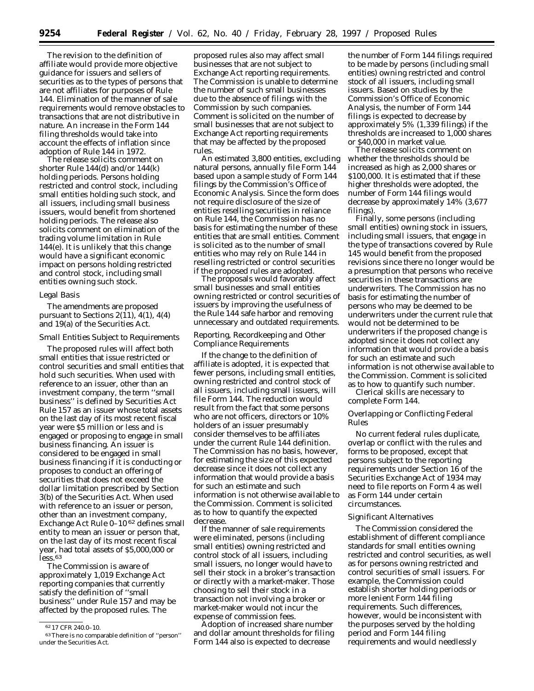The revision to the definition of affiliate would provide more objective guidance for issuers and sellers of securities as to the types of persons that are not affiliates for purposes of Rule 144. Elimination of the manner of sale requirements would remove obstacles to transactions that are not distributive in nature. An increase in the Form 144 filing thresholds would take into account the effects of inflation since adoption of Rule 144 in 1972.

The release solicits comment on shorter Rule 144(d) and/or 144(k) holding periods. Persons holding restricted and control stock, including small entities holding such stock, and all issuers, including small business issuers, would benefit from shortened holding periods. The release also solicits comment on elimination of the trading volume limitation in Rule 144(e). It is unlikely that this change would have a significant economic impact on persons holding restricted and control stock, including small entities owning such stock.

#### *Legal Basis*

The amendments are proposed pursuant to Sections  $2(11)$ ,  $4(1)$ ,  $4(4)$ and 19(a) of the Securities Act.

#### *Small Entities Subject to Requirements*

The proposed rules will affect both small entities that issue restricted or control securities and small entities that hold such securities. When used with reference to an issuer, other than an investment company, the term ''small business'' is defined by Securities Act Rule 157 as an issuer whose total assets on the last day of its most recent fiscal year were \$5 million or less and is engaged or proposing to engage in small business financing. An issuer is considered to be engaged in small business financing if it is conducting or proposes to conduct an offering of securities that does not exceed the dollar limitation prescribed by Section 3(b) of the Securities Act. When used with reference to an issuer or person, other than an investment company, Exchange Act Rule 0–10 62 defines small entity to mean an issuer or person that, on the last day of its most recent fiscal year, had total assets of \$5,000,000 or less.<sup>63</sup>

The Commission is aware of approximately 1,019 Exchange Act reporting companies that currently satisfy the definition of ''small business'' under Rule 157 and may be affected by the proposed rules. The

proposed rules also may affect small businesses that are not subject to Exchange Act reporting requirements. The Commission is unable to determine the number of such small businesses due to the absence of filings with the Commission by such companies. Comment is solicited on the number of small businesses that are not subject to Exchange Act reporting requirements that may be affected by the proposed rules.

An estimated 3,800 entities, excluding natural persons, annually file Form 144 based upon a sample study of Form 144 filings by the Commission's Office of Economic Analysis. Since the form does not require disclosure of the size of entities reselling securities in reliance on Rule 144, the Commission has no basis for estimating the number of these entities that are small entities. Comment is solicited as to the number of small entities who may rely on Rule 144 in reselling restricted or control securities if the proposed rules are adopted.

The proposals would favorably affect small businesses and small entities owning restricted or control securities of issuers by improving the usefulness of the Rule 144 safe harbor and removing unnecessary and outdated requirements.

# *Reporting, Recordkeeping and Other Compliance Requirements*

If the change to the definition of affiliate is adopted, it is expected that fewer persons, including small entities, owning restricted and control stock of all issuers, including small issuers, will file Form 144. The reduction would result from the fact that some persons who are not officers, directors or 10% holders of an issuer presumably consider themselves to be affiliates under the current Rule 144 definition. The Commission has no basis, however, for estimating the size of this expected decrease since it does not collect any information that would provide a basis for such an estimate and such information is not otherwise available to the Commission. Comment is solicited as to how to quantify the expected decrease.

If the manner of sale requirements were eliminated, persons (including small entities) owning restricted and control stock of all issuers, including small issuers, no longer would have to sell their stock in a broker's transaction or directly with a market-maker. Those choosing to sell their stock in a transaction not involving a broker or market-maker would not incur the expense of commission fees.

Adoption of increased share number and dollar amount thresholds for filing Form 144 also is expected to decrease

the number of Form 144 filings required to be made by persons (including small entities) owning restricted and control stock of all issuers, including small issuers. Based on studies by the Commission's Office of Economic Analysis, the number of Form 144 filings is expected to decrease by approximately 5% (1,339 filings) if the thresholds are increased to 1,000 shares or \$40,000 in market value.

The release solicits comment on whether the thresholds should be increased as high as 2,000 shares or \$100,000. It is estimated that if these higher thresholds were adopted, the number of Form 144 filings would decrease by approximately 14% (3,677 filings).

Finally, some persons (including small entities) owning stock in issuers, including small issuers, that engage in the type of transactions covered by Rule 145 would benefit from the proposed revisions since there no longer would be a presumption that persons who receive securities in these transactions are underwriters. The Commission has no basis for estimating the number of persons who may be deemed to be underwriters under the current rule that would not be determined to be underwriters if the proposed change is adopted since it does not collect any information that would provide a basis for such an estimate and such information is not otherwise available to the Commission. Comment is solicited as to how to quantify such number.

Clerical skills are necessary to complete Form 144.

# *Overlapping or Conflicting Federal Rules*

No current federal rules duplicate, overlap or conflict with the rules and forms to be proposed, except that persons subject to the reporting requirements under Section 16 of the Securities Exchange Act of 1934 may need to file reports on Form 4 as well as Form 144 under certain circumstances.

### *Significant Alternatives*

The Commission considered the establishment of different compliance standards for small entities owning restricted and control securities, as well as for persons owning restricted and control securities of small issuers. For example, the Commission could establish shorter holding periods or more lenient Form 144 filing requirements. Such differences, however, would be inconsistent with the purposes served by the holding period and Form 144 filing requirements and would needlessly

<sup>62</sup> 17 CFR 240.0–10.

<sup>63</sup>There is no comparable definition of ''person'' under the Securities Act.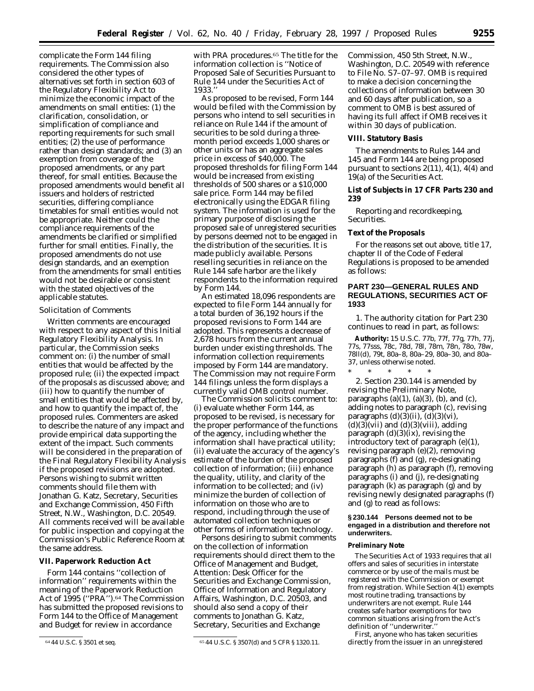complicate the Form 144 filing requirements. The Commission also considered the other types of alternatives set forth in section 603 of the Regulatory Flexibility Act to minimize the economic impact of the amendments on small entities: (1) the clarification, consolidation, or simplification of compliance and reporting requirements for such small entities; (2) the use of performance rather than design standards; and (3) an exemption from coverage of the proposed amendments, or any part thereof, for small entities. Because the proposed amendments would benefit all issuers and holders of restricted securities, differing compliance timetables for small entities would not be appropriate. Neither could the compliance requirements of the amendments be clarified or simplified further for small entities. Finally, the proposed amendments do not use design standards, and an exemption from the amendments for small entities would not be desirable or consistent with the stated objectives of the applicable statutes.

#### *Solicitation of Comments*

Written comments are encouraged with respect to any aspect of this Initial Regulatory Flexibility Analysis. In particular, the Commission seeks comment on: (i) the number of small entities that would be affected by the proposed rule; (ii) the expected impact of the proposals as discussed above; and (iii) how to quantify the number of small entities that would be affected by, and how to quantify the impact of, the proposed rules. Commenters are asked to describe the nature of any impact and provide empirical data supporting the extent of the impact. Such comments will be considered in the preparation of the Final Regulatory Flexibility Analysis if the proposed revisions are adopted. Persons wishing to submit written comments should file them with Jonathan G. Katz, Secretary, Securities and Exchange Commission, 450 Fifth Street, N.W., Washington, D.C. 20549. All comments received will be available for public inspection and copying at the Commission's Public Reference Room at the same address.

# **VII. Paperwork Reduction Act**

Form 144 contains ''collection of information'' requirements within the meaning of the Paperwork Reduction Act of 1995 (''PRA'').64 The Commission has submitted the proposed revisions to Form 144 to the Office of Management and Budget for review in accordance

with PRA procedures.65 The title for the information collection is ''Notice of Proposed Sale of Securities Pursuant to Rule 144 under the Securities Act of 1933.''

As proposed to be revised, Form 144 would be filed with the Commission by persons who intend to sell securities in reliance on Rule 144 if the amount of securities to be sold during a threemonth period exceeds 1,000 shares or other units or has an aggregate sales price in excess of \$40,000. The proposed thresholds for filing Form 144 would be increased from existing thresholds of 500 shares or a \$10,000 sale price. Form 144 may be filed electronically using the EDGAR filing system. The information is used for the primary purpose of disclosing the proposed sale of unregistered securities by persons deemed not to be engaged in the distribution of the securities. It is made publicly available. Persons reselling securities in reliance on the Rule 144 safe harbor are the likely respondents to the information required by Form 144.

An estimated 18,096 respondents are expected to file Form 144 annually for a total burden of 36,192 hours if the proposed revisions to Form 144 are adopted. This represents a decrease of 2,678 hours from the current annual burden under existing thresholds. The information collection requirements imposed by Form 144 are mandatory. The Commission may not require Form 144 filings unless the form displays a currently valid OMB control number.

The Commission solicits comment to: (i) evaluate whether Form 144, as proposed to be revised, is necessary for the proper performance of the functions of the agency, including whether the information shall have practical utility; (ii) evaluate the accuracy of the agency's estimate of the burden of the proposed collection of information; (iii) enhance the quality, utility, and clarity of the information to be collected; and (iv) minimize the burden of collection of information on those who are to respond, including through the use of automated collection techniques or other forms of information technology.

Persons desiring to submit comments on the collection of information requirements should direct them to the Office of Management and Budget, Attention: Desk Officer for the Securities and Exchange Commission, Office of Information and Regulatory Affairs, Washington, D.C. 20503, and should also send a copy of their comments to Jonathan G. Katz, Secretary, Securities and Exchange

Commission, 450 5th Street, N.W., Washington, D.C. 20549 with reference to File No. S7–07–97. OMB is required to make a decision concerning the collections of information between 30 and 60 days after publication, so a comment to OMB is best assured of having its full affect if OMB receives it within 30 days of publication.

#### **VIII. Statutory Basis**

The amendments to Rules 144 and 145 and Form 144 are being proposed pursuant to sections  $2(11)$ ,  $4(1)$ ,  $4(4)$  and 19(a) of the Securities Act.

**List of Subjects in 17 CFR Parts 230 and 239**

Reporting and recordkeeping, Securities.

# **Text of the Proposals**

For the reasons set out above, title 17, chapter II of the Code of Federal Regulations is proposed to be amended as follows:

# **PART 230—GENERAL RULES AND REGULATIONS, SECURITIES ACT OF 1933**

1. The authority citation for Part 230 continues to read in part, as follows:

**Authority:** 15 U.S.C. 77b, 77f, 77g, 77h, 77j, 77s, 77sss, 78c, 78d, 78*l*, 78m, 78n, 78o, 78w, 78*ll*(d), 79t, 80a–8, 80a–29, 80a–30, and 80a– 37, unless otherwise noted.

\* \* \* \* \* 2. Section 230.144 is amended by revising the Preliminary Note, paragraphs  $(a)(1)$ ,  $(a)(3)$ ,  $(b)$ , and  $(c)$ , adding notes to paragraph (c), revising paragraphs  $(d)(3)(ii)$ ,  $(d)(3)(vi)$ ,  $(d)(3)(vii)$  and  $(d)(3)(viii)$ , adding paragraph (d)(3)(ix), revising the introductory text of paragraph (e)(1), revising paragraph (e)(2), removing paragraphs (f) and (g), re-designating paragraph (h) as paragraph (f), removing paragraphs (i) and (j), re-designating paragraph (k) as paragraph (g) and by revising newly designated paragraphs (f) and (g) to read as follows:

# **§ 230.144 Persons deemed not to be engaged in a distribution and therefore not underwriters.**

# **Preliminary Note**

The Securities Act of 1933 requires that all offers and sales of securities in interstate commerce or by use of the mails must be registered with the Commission or exempt from registration. While Section 4(1) exempts most routine trading, transactions by underwriters are not exempt. Rule 144 creates safe harbor exemptions for two common situations arising from the Act's definition of "underwriter.

First, anyone who has taken securities directly from the issuer in an unregistered

<sup>64</sup> 44 U.S.C. § 3501 *et seq.* 65 44 U.S.C. § 3507(d) and 5 CFR § 1320.11.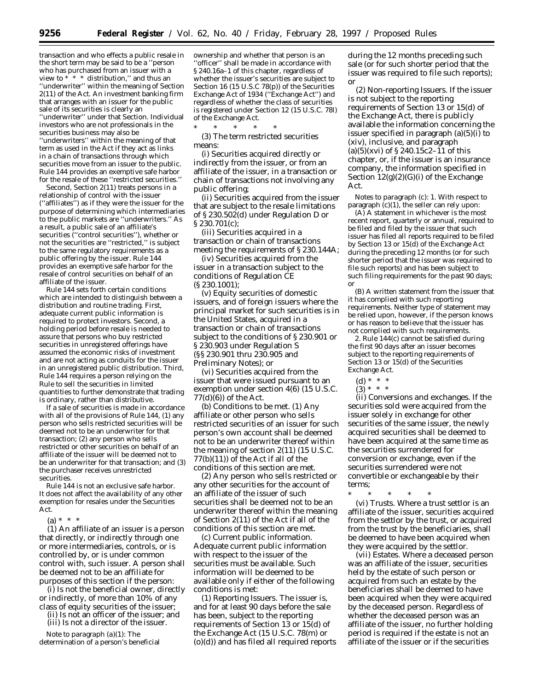transaction and who effects a public resale in the short term may be said to be a ''person who has purchased from an issuer with a view to  $* * *$  distribution," and thus an ''underwriter'' within the meaning of Section 2(11) of the Act. An investment banking firm that arranges with an issuer for the public sale of its securities is clearly an ''underwriter'' under that Section. Individual investors who are not professionals in the securities business may also be ''underwriters'' within the meaning of that term as used in the Act if they act as links in a chain of transactions through which securities move from an issuer to the public. Rule 144 provides an exemptive safe harbor for the resale of these ''restricted securities.''

Second, Section 2(11) treats persons in a relationship of control with the issuer (''affiliates'') as if they were the issuer for the purpose of determining which intermediaries to the public markets are ''underwriters.'' As a result, a public sale of an affiliate's securities (''control securities''), whether or not the securities are ''restricted,'' is subject to the same regulatory requirements as a public offering by the issuer. Rule 144 provides an exemptive safe harbor for the resale of control securities on behalf of an affiliate of the issuer.

Rule 144 sets forth certain conditions which are intended to distinguish between a distribution and routine trading. First, adequate current public information is required to protect investors. Second, a holding period before resale is needed to assure that persons who buy restricted securities in unregistered offerings have assumed the economic risks of investment and are not acting as conduits for the issuer in an unregistered public distribution. Third, Rule 144 requires a person relying on the Rule to sell the securities in limited quantities to further demonstrate that trading is ordinary, rather than distributive.

If a sale of securities is made in accordance with all of the provisions of Rule 144, (1) any person who sells restricted securities will be deemed not to be an underwriter for that transaction; (2) any person who sells restricted or other securities on behalf of an affiliate of the issuer will be deemed not to be an underwriter for that transaction; and (3) the purchaser receives unrestricted securities.

Rule 144 is not an exclusive safe harbor. It does not affect the availability of any other exemption for resales under the Securities Act.

 $(a) * * * *$ 

(1) An *affiliate* of an issuer is a person that directly, or indirectly through one or more intermediaries, controls, or is controlled by, or is under common control with, such issuer. A person shall be deemed not to be an affiliate for purposes of this section if the person:

(i) Is not the beneficial owner, directly or indirectly, of more than 10% of any class of equity securities of the issuer;

(ii) Is not an officer of the issuer; and (iii) Is not a director of the issuer.

*Note to paragraph (a)(1):* The

determination of a person's beneficial

ownership and whether that person is an 'officer'' shall be made in accordance with § 240.16a–1 of this chapter, regardless of whether the issuer's securities are subject to Section 16 (15 U.S.C 78(p)) of the Securities Exchange Act of 1934 (''Exchange Act'') and regardless of whether the class of securities is registered under Section 12 (15 U.S.C. 78*l*) of the Exchange Act.

\* \* \* \* \* (3) The term *restricted securities* means:

(i) Securities acquired directly or indirectly from the issuer, or from an affiliate of the issuer, in a transaction or chain of transactions not involving any public offering;

(ii) Securities acquired from the issuer that are subject to the resale limitations of § 230.502(d) under Regulation D or § 230.701(c);

(iii) Securities acquired in a transaction or chain of transactions meeting the requirements of § 230.144A;

(iv) Securities acquired from the issuer in a transaction subject to the conditions of Regulation CE (§ 230.1001);

(v) Equity securities of domestic issuers, and of foreign issuers where the principal market for such securities is in the United States, acquired in a transaction or chain of transactions subject to the conditions of § 230.901 or § 230.903 under Regulation S (§§ 230.901 thru 230.905 and Preliminary Notes); or

(vi) Securities acquired from the issuer that were issued pursuant to an exemption under section 4(6) (15 U.S.C.  $77(d)(6)$ ) of the Act.

(b) *Conditions to be met.* (1) Any affiliate or other person who sells restricted securities of an issuer for such person's own account shall be deemed not to be an underwriter thereof within the meaning of section 2(11) (15 U.S.C. 77(b)(11)) of the Act if all of the conditions of this section are met.

(2) Any person who sells restricted or any other securities for the account of an affiliate of the issuer of such securities shall be deemed not to be an underwriter thereof within the meaning of Section 2(11) of the Act if all of the conditions of this section are met.

(c) *Current public information.* Adequate current public information with respect to the issuer of the securities must be available. Such information will be deemed to be available only if either of the following conditions is met:

(1) *Reporting Issuers.* The issuer is, and for at least 90 days before the sale has been, subject to the reporting requirements of Section 13 or 15(d) of the Exchange Act (15 U.S.C. 78(m) or (o)(d)) and has filed all required reports

during the 12 months preceding such sale (or for such shorter period that the issuer was required to file such reports); or

(2) *Non-reporting Issuers.* If the issuer is not subject to the reporting requirements of Section 13 or 15(d) of the Exchange Act, there is publicly available the information concerning the issuer specified in paragraph (a)(5)(i) to (xiv), inclusive, and paragraph  $(a)(5)(xvi)$  of § 240.15c2–11 of this chapter, or, if the issuer is an insurance company, the information specified in Section  $12(g)(2)(G)(i)$  of the Exchange Act.

*Notes to paragraph (c):* 1. With respect to paragraph  $(c)(1)$ , the seller can rely upon:

(A) A statement in whichever is the most recent report, quarterly or annual, required to be filed and filed by the issuer that such issuer has filed all reports required to be filed by Section 13 or 15(d) of the Exchange Act during the preceding 12 months (or for such shorter period that the issuer was required to file such reports) and has been subject to such filing requirements for the past 90 days; or

(B) A written statement from the issuer that it has complied with such reporting requirements. Neither type of statement may be relied upon, however, if the person knows or has reason to believe that the issuer has not complied with such requirements.

2. Rule 144(c) cannot be satisfied during the first 90 days after an issuer becomes subject to the reporting requirements of Section 13 or 15(d) of the Securities Exchange Act.

- (d) \* \* \*
- $(3) * * * *$

(ii) *Conversions and exchanges.* If the securities sold were acquired from the issuer solely in exchange for other securities of the same issuer, the newly acquired securities shall be deemed to have been acquired at the same time as the securities surrendered for conversion or exchange, even if the securities surrendered were not convertible or exchangeable by their terms;

\* \* \* \* \* (vi) *Trusts.* Where a trust settlor is an affiliate of the issuer, securities acquired from the settlor by the trust, or acquired from the trust by the beneficiaries, shall be deemed to have been acquired when they were acquired by the settlor.

(vii) *Estates.* Where a deceased person was an affiliate of the issuer, securities held by the estate of such person or acquired from such an estate by the beneficiaries shall be deemed to have been acquired when they were acquired by the deceased person. Regardless of whether the deceased person was an affiliate of the issuer, no further holding period is required if the estate is not an affiliate of the issuer or if the securities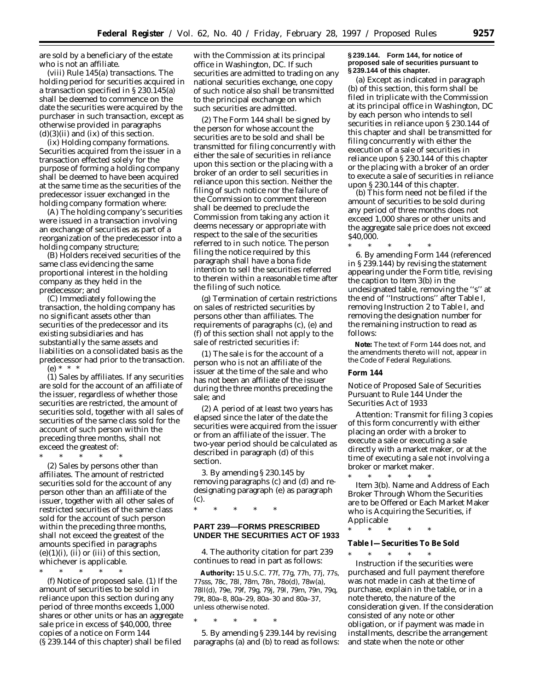are sold by a beneficiary of the estate who is not an affiliate.

(viii) *Rule 145(a) transactions.* The holding period for securities acquired in a transaction specified in § 230.145(a) shall be deemed to commence on the date the securities were acquired by the purchaser in such transaction, except as otherwise provided in paragraphs  $(d)(3)(ii)$  and  $(ix)$  of this section.

(ix) *Holding company formations.* Securities acquired from the issuer in a transaction effected solely for the purpose of forming a holding company shall be deemed to have been acquired at the same time as the securities of the predecessor issuer exchanged in the holding company formation where:

(A) The holding company's securities were issued in a transaction involving an exchange of securities as part of a reorganization of the predecessor into a holding company structure;

(B) Holders received securities of the same class evidencing the same proportional interest in the holding company as they held in the predecessor; and

(C) Immediately following the transaction, the holding company has no significant assets other than securities of the predecessor and its existing subsidiaries and has substantially the same assets and liabilities on a consolidated basis as the predecessor had prior to the transaction. (e) \* \* \*

(1) *Sales by affiliates.* If any securities are sold for the account of an affiliate of the issuer, regardless of whether those securities are restricted, the amount of securities sold, together with all sales of securities of the same class sold for the account of such person within the preceding three months, shall not exceed the greatest of:

- \* \* \* \* \* (2) *Sales by persons other than affiliates.* The amount of restricted securities sold for the account of any person other than an affiliate of the issuer, together with all other sales of restricted securities of the same class sold for the account of such person within the preceding three months, shall not exceed the greatest of the amounts specified in paragraphs  $(e)(1)(i)$ ,  $(ii)$  or  $(iii)$  of this section, whichever is applicable.
- \* \* \* \* \*

(f) *Notice of proposed sale.* (1) If the amount of securities to be sold in reliance upon this section during any period of three months exceeds 1,000 shares or other units or has an aggregate sale price in excess of \$40,000, three copies of a notice on Form 144 (§ 239.144 of this chapter) shall be filed

with the Commission at its principal office in Washington, DC. If such securities are admitted to trading on any national securities exchange, one copy of such notice also shall be transmitted to the principal exchange on which such securities are admitted.

(2) The Form 144 shall be signed by the person for whose account the securities are to be sold and shall be transmitted for filing concurrently with either the sale of securities in reliance upon this section or the placing with a broker of an order to sell securities in reliance upon this section. Neither the filing of such notice nor the failure of the Commission to comment thereon shall be deemed to preclude the Commission from taking any action it deems necessary or appropriate with respect to the sale of the securities referred to in such notice. The person filing the notice required by this paragraph shall have a bona fide intention to sell the securities referred to therein within a reasonable time after the filing of such notice.

(g) *Termination of certain restrictions on sales of restricted securities by persons other than affiliates.* The requirements of paragraphs (c), (e) and (f) of this section shall not apply to the sale of restricted securities if:

(1) The sale is for the account of a person who is not an affiliate of the issuer at the time of the sale and who has not been an affiliate of the issuer during the three months preceding the sale; and

(2) A period of at least two years has elapsed since the later of the date the securities were acquired from the issuer or from an affiliate of the issuer. The two-year period should be calculated as described in paragraph (d) of this section.

3. By amending § 230.145 by removing paragraphs (c) and (d) and redesignating paragraph (e) as paragraph (c).

\* \* \* \* \*

# **PART 239—FORMS PRESCRIBED UNDER THE SECURITIES ACT OF 1933**

4. The authority citation for part 239 continues to read in part as follows:

**Authority:** 15 U.S.C. 77f, 77g, 77h, 77j, 77s, 77sss, 78c, 78l, 78m, 78n, 78o(d), 78w(a), 78ll(d), 79e, 79f, 79g, 79j, 79l, 79m, 79n, 79q, 79t, 80a–8, 80a–29, 80a–30 and 80a–37, unless otherwise noted.

\* \* \* \* \*

5. By amending § 239.144 by revising paragraphs (a) and (b) to read as follows:

# **§ 239.144. Form 144, for notice of proposed sale of securities pursuant to § 239.144 of this chapter.**

(a) Except as indicated in paragraph (b) of this section, this form shall be filed in triplicate with the Commission at its principal office in Washington, DC by each person who intends to sell securities in reliance upon § 230.144 of this chapter and shall be transmitted for filing concurrently with either the execution of a sale of securities in reliance upon § 230.144 of this chapter or the placing with a broker of an order to execute a sale of securities in reliance upon § 230.144 of this chapter.

(b) This form need not be filed if the amount of securities to be sold during any period of three months does not exceed 1,000 shares or other units and the aggregate sale price does not exceed \$40,000.

\* \* \* \* \* 6. By amending Form 144 (referenced in § 239.144) by revising the statement appearing under the Form title, revising the caption to Item 3(b) in the undesignated table, removing the ''s'' at the end of ''Instructions'' after Table I, removing Instruction 2 to Table I, and removing the designation number for the remaining instruction to read as follows:

**Note:** The text of Form 144 does not, and the amendments thereto will not, appear in the Code of Federal Regulations.

# **Form 144**

Notice of Proposed Sale of Securities Pursuant to Rule 144 Under the Securities Act of 1933

Attention: Transmit for filing 3 copies of this form concurrently with either placing an order with a broker to execute a sale or executing a sale directly with a market maker, or at the time of executing a sale not involving a broker or market maker.

\* \* \* \* \* Item 3(b). Name and Address of Each Broker Through Whom the Securities are to be Offered or Each Market Maker who is Acquiring the Securities, if Applicable

\* \* \* \* \*

**Table I—Securities To Be Sold**

\* \* \* \* \* Instruction if the securities were purchased and full payment therefore was not made in cash at the time of purchase, explain in the table, or in a note thereto, the nature of the consideration given. If the consideration consisted of any note or other obligation, or if payment was made in installments, describe the arrangement and state when the note or other